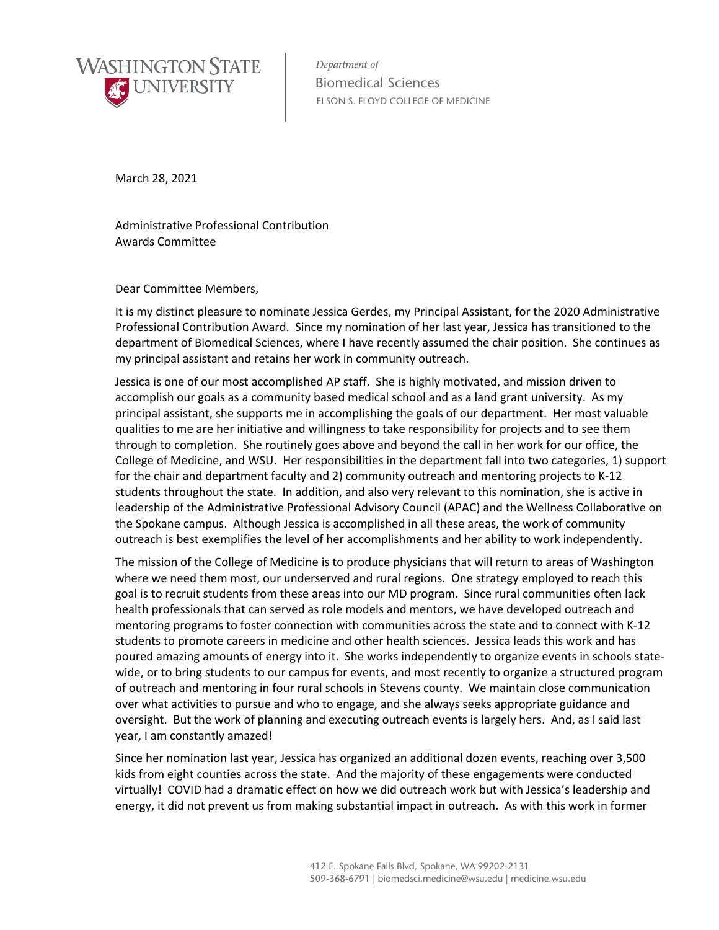

Department of Biomedical Sciences ELSON S. FLOYD COLLEGE OF MEDICINE

March 28, 2021

Administrative Professional Contribution Awards Committee

Dear Committee Members,

It is my distinct pleasure to nominate Jessica Gerdes, my Principal Assistant, for the 2020 Administrative Professional Contribution Award. Since my nomination of her last year, Jessica has transitioned to the department of Biomedical Sciences, where I have recently assumed the chair position. She continues as my principal assistant and retains her work in community outreach.

Jessica is one of our most accomplished AP staff. She is highly motivated, and mission driven to accomplish our goals as a community based medical school and as a land grant university. As my principal assistant, she supports me in accomplishing the goals of our department. Her most valuable qualities to me are her initiative and willingness to take responsibility for projects and to see them through to completion. She routinely goes above and beyond the call in her work for our office, the College of Medicine, and WSU. Her responsibilities in the department fall into two categories, 1) support for the chair and department faculty and 2) community outreach and mentoring projects to K-12 students throughout the state. In addition, and also very relevant to this nomination, she is active in leadership of the Administrative Professional Advisory Council (APAC) and the Wellness Collaborative on the Spokane campus. Although Jessica is accomplished in all these areas, the work of community outreach is best exemplifies the level of her accomplishments and her ability to work independently.

The mission of the College of Medicine is to produce physicians that will return to areas of Washington where we need them most, our underserved and rural regions. One strategy employed to reach this goal is to recruit students from these areas into our MD program. Since rural communities often lack health professionals that can served as role models and mentors, we have developed outreach and mentoring programs to foster connection with communities across the state and to connect with K-12 students to promote careers in medicine and other health sciences. Jessica leads this work and has poured amazing amounts of energy into it. She works independently to organize events in schools statewide, or to bring students to our campus for events, and most recently to organize a structured program of outreach and mentoring in four rural schools in Stevens county. We maintain close communication over what activities to pursue and who to engage, and she always seeks appropriate guidance and oversight. But the work of planning and executing outreach events is largely hers. And, as I said last year, I am constantly amazed!

Since her nomination last year, Jessica has organized an additional dozen events, reaching over 3,500 kids from eight counties across the state. And the majority of these engagements were conducted virtually! COVID had a dramatic effect on how we did outreach work but with Jessica's leadership and energy, it did not prevent us from making substantial impact in outreach. As with this work in former